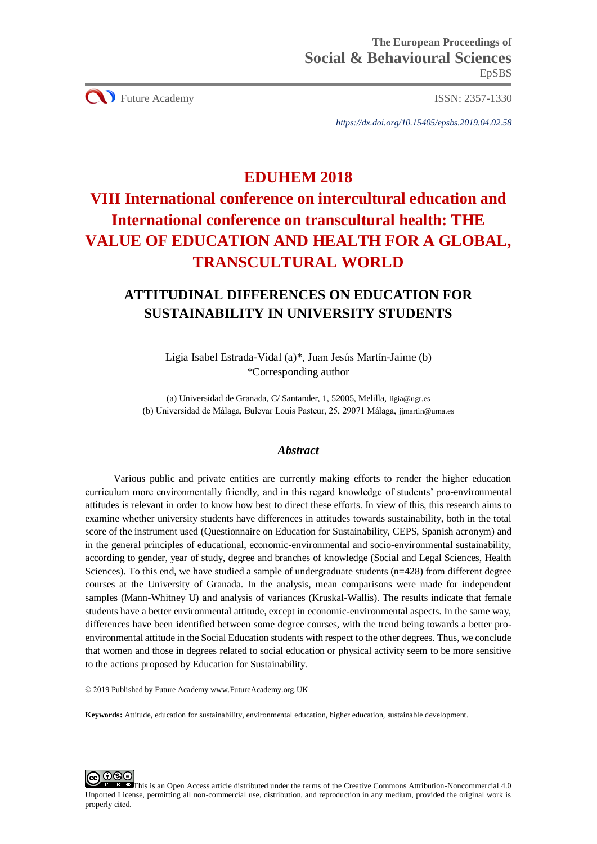**CO** Future Academy ISSN: 2357-1330

*https://dx.doi.org/10.15405/epsbs.2019.04.02.58*

# **EDUHEM 2018**

# **VIII International conference on intercultural education and International conference on transcultural health: THE VALUE OF EDUCATION AND HEALTH FOR A GLOBAL, TRANSCULTURAL WORLD**

# **ATTITUDINAL DIFFERENCES ON EDUCATION FOR SUSTAINABILITY IN UNIVERSITY STUDENTS**

Ligia Isabel Estrada-Vidal (a)\*, Juan Jesús Martín-Jaime (b) \*Corresponding author

(a) Universidad de Granada, C/ Santander, 1, 52005, Melilla, [ligia@ugr.es](mailto:ligia@ugr.es) (b) Universidad de Málaga, Bulevar Louis Pasteur, 25, 29071 Málaga, [jjmartin@uma.es](mailto:jjmartin@uma.es)

# *Abstract*

Various public and private entities are currently making efforts to render the higher education curriculum more environmentally friendly, and in this regard knowledge of students' pro-environmental attitudes is relevant in order to know how best to direct these efforts. In view of this, this research aims to examine whether university students have differences in attitudes towards sustainability, both in the total score of the instrument used (Questionnaire on Education for Sustainability, CEPS, Spanish acronym) and in the general principles of educational, economic-environmental and socio-environmental sustainability, according to gender, year of study, degree and branches of knowledge (Social and Legal Sciences, Health Sciences). To this end, we have studied a sample of undergraduate students (n=428) from different degree courses at the University of Granada. In the analysis, mean comparisons were made for independent samples (Mann-Whitney U) and analysis of variances (Kruskal-Wallis). The results indicate that female students have a better environmental attitude, except in economic-environmental aspects. In the same way, differences have been identified between some degree courses, with the trend being towards a better proenvironmental attitude in the Social Education students with respect to the other degrees. Thus, we conclude that women and those in degrees related to social education or physical activity seem to be more sensitive to the actions proposed by Education for Sustainability.

© 2019 Published by Future Academy www.FutureAcademy.org.UK

**Keywords:** Attitude, education for sustainability, environmental education, higher education, sustainable development.

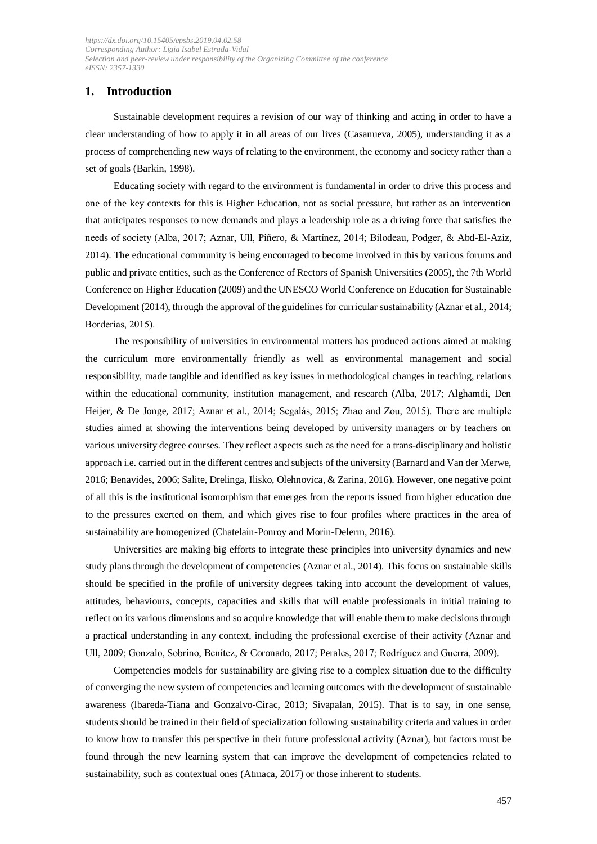# **1. Introduction**

Sustainable development requires a revision of our way of thinking and acting in order to have a clear understanding of how to apply it in all areas of our lives (Casanueva, 2005), understanding it as a process of comprehending new ways of relating to the environment, the economy and society rather than a set of goals (Barkin, 1998).

Educating society with regard to the environment is fundamental in order to drive this process and one of the key contexts for this is Higher Education, not as social pressure, but rather as an intervention that anticipates responses to new demands and plays a leadership role as a driving force that satisfies the needs of society (Alba, 2017; Aznar, Ull, Piñero, & Martínez, 2014; Bilodeau, Podger, & Abd-El-Aziz, 2014). The educational community is being encouraged to become involved in this by various forums and public and private entities, such as the Conference of Rectors of Spanish Universities (2005), the 7th World Conference on Higher Education (2009) and the UNESCO World Conference on Education for Sustainable Development (2014), through the approval of the guidelines for curricular sustainability (Aznar et al., 2014; Borderías, 2015).

The responsibility of universities in environmental matters has produced actions aimed at making the curriculum more environmentally friendly as well as environmental management and social responsibility, made tangible and identified as key issues in methodological changes in teaching, relations within the educational community, institution management, and research (Alba, 2017; Alghamdi, Den Heijer, & De Jonge, 2017; Aznar et al., 2014; Segalás, 2015; Zhao and Zou, 2015). There are multiple studies aimed at showing the interventions being developed by university managers or by teachers on various university degree courses. They reflect aspects such as the need for a trans-disciplinary and holistic approach i.e. carried out in the different centres and subjects of the university (Barnard and Van der Merwe, 2016; Benavides, 2006; Salite, Drelinga, Ilisko, Olehnovica, & Zarina, 2016). However, one negative point of all this is the institutional isomorphism that emerges from the reports issued from higher education due to the pressures exerted on them, and which gives rise to four profiles where practices in the area of sustainability are homogenized (Chatelain-Ponroy and Morin-Delerm, 2016).

Universities are making big efforts to integrate these principles into university dynamics and new study plans through the development of competencies (Aznar et al., 2014). This focus on sustainable skills should be specified in the profile of university degrees taking into account the development of values, attitudes, behaviours, concepts, capacities and skills that will enable professionals in initial training to reflect on its various dimensions and so acquire knowledge that will enable them to make decisions through a practical understanding in any context, including the professional exercise of their activity (Aznar and Ull, 2009; Gonzalo, Sobrino, Benítez, & Coronado, 2017; Perales, 2017; Rodríguez and Guerra, 2009).

Competencies models for sustainability are giving rise to a complex situation due to the difficulty of converging the new system of competencies and learning outcomes with the development of sustainable awareness (lbareda-Tiana and Gonzalvo-Cirac, 2013; Sivapalan, 2015). That is to say, in one sense, students should be trained in their field of specialization following sustainability criteria and values in order to know how to transfer this perspective in their future professional activity (Aznar), but factors must be found through the new learning system that can improve the development of competencies related to sustainability, such as contextual ones (Atmaca, 2017) or those inherent to students.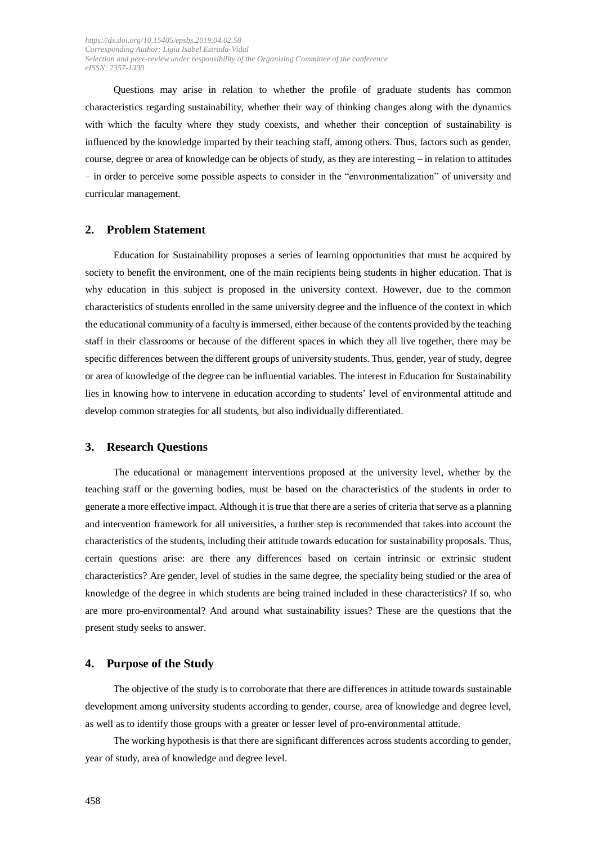Questions may arise in relation to whether the profile of graduate students has common characteristics regarding sustainability, whether their way of thinking changes along with the dynamics with which the faculty where they study coexists, and whether their conception of sustainability is influenced by the knowledge imparted by their teaching staff, among others. Thus, factors such as gender, course, degree or area of knowledge can be objects of study, as they are interesting – in relation to attitudes – in order to perceive some possible aspects to consider in the "environmentalization" of university and curricular management.

# **2. Problem Statement**

Education for Sustainability proposes a series of learning opportunities that must be acquired by society to benefit the environment, one of the main recipients being students in higher education. That is why education in this subject is proposed in the university context. However, due to the common characteristics of students enrolled in the same university degree and the influence of the context in which the educational community of a faculty is immersed, either because of the contents provided by the teaching staff in their classrooms or because of the different spaces in which they all live together, there may be specific differences between the different groups of university students. Thus, gender, year of study, degree or area of knowledge of the degree can be influential variables. The interest in Education for Sustainability lies in knowing how to intervene in education according to students' level of environmental attitude and develop common strategies for all students, but also individually differentiated.

#### **3. Research Questions**

The educational or management interventions proposed at the university level, whether by the teaching staff or the governing bodies, must be based on the characteristics of the students in order to generate a more effective impact. Although it is true that there are a series of criteria that serve as a planning and intervention framework for all universities, a further step is recommended that takes into account the characteristics of the students, including their attitude towards education for sustainability proposals. Thus, certain questions arise: are there any differences based on certain intrinsic or extrinsic student characteristics? Are gender, level of studies in the same degree, the speciality being studied or the area of knowledge of the degree in which students are being trained included in these characteristics? If so, who are more pro-environmental? And around what sustainability issues? These are the questions that the present study seeks to answer.

#### **4. Purpose of the Study**

The objective of the study is to corroborate that there are differences in attitude towards sustainable development among university students according to gender, course, area of knowledge and degree level, as well as to identify those groups with a greater or lesser level of pro-environmental attitude.

The working hypothesis is that there are significant differences across students according to gender, year of study, area of knowledge and degree level.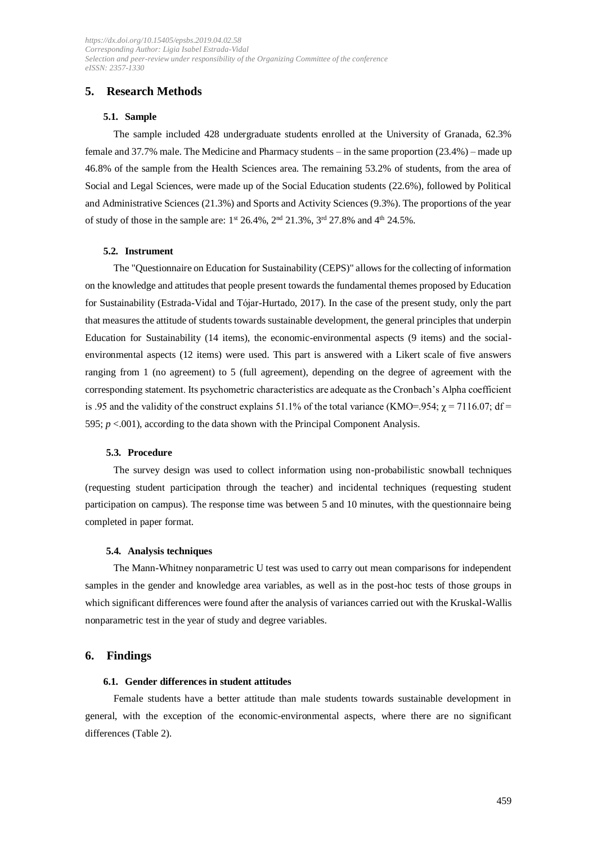# **5. Research Methods**

#### **5.1. Sample**

The sample included 428 undergraduate students enrolled at the University of Granada, 62.3% female and 37.7% male. The Medicine and Pharmacy students – in the same proportion (23.4%) – made up 46.8% of the sample from the Health Sciences area. The remaining 53.2% of students, from the area of Social and Legal Sciences, were made up of the Social Education students (22.6%), followed by Political and Administrative Sciences (21.3%) and Sports and Activity Sciences (9.3%). The proportions of the year of study of those in the sample are:  $1^{st}$  26.4%,  $2^{nd}$  21.3%,  $3^{rd}$  27.8% and  $4^{th}$  24.5%.

#### **5.2. Instrument**

The "Questionnaire on Education for Sustainability (CEPS)" allows for the collecting of information on the knowledge and attitudes that people present towards the fundamental themes proposed by Education for Sustainability (Estrada-Vidal and Tójar-Hurtado, 2017). In the case of the present study, only the part that measures the attitude of students towards sustainable development, the general principles that underpin Education for Sustainability (14 items), the economic-environmental aspects (9 items) and the socialenvironmental aspects (12 items) were used. This part is answered with a Likert scale of five answers ranging from 1 (no agreement) to 5 (full agreement), depending on the degree of agreement with the corresponding statement. Its psychometric characteristics are adequate as the Cronbach's Alpha coefficient is .95 and the validity of the construct explains 51.1% of the total variance (KMO=.954;  $\chi$  = 7116.07; df = 595;  $p < .001$ ), according to the data shown with the Principal Component Analysis.

#### **5.3. Procedure**

The survey design was used to collect information using non-probabilistic snowball techniques (requesting student participation through the teacher) and incidental techniques (requesting student participation on campus). The response time was between 5 and 10 minutes, with the questionnaire being completed in paper format.

#### **5.4. Analysis techniques**

The Mann-Whitney nonparametric U test was used to carry out mean comparisons for independent samples in the gender and knowledge area variables, as well as in the post-hoc tests of those groups in which significant differences were found after the analysis of variances carried out with the Kruskal-Wallis nonparametric test in the year of study and degree variables.

#### **6. Findings**

#### **6.1. Gender differences in student attitudes**

Female students have a better attitude than male students towards sustainable development in general, with the exception of the economic-environmental aspects, where there are no significant differences (Table 2).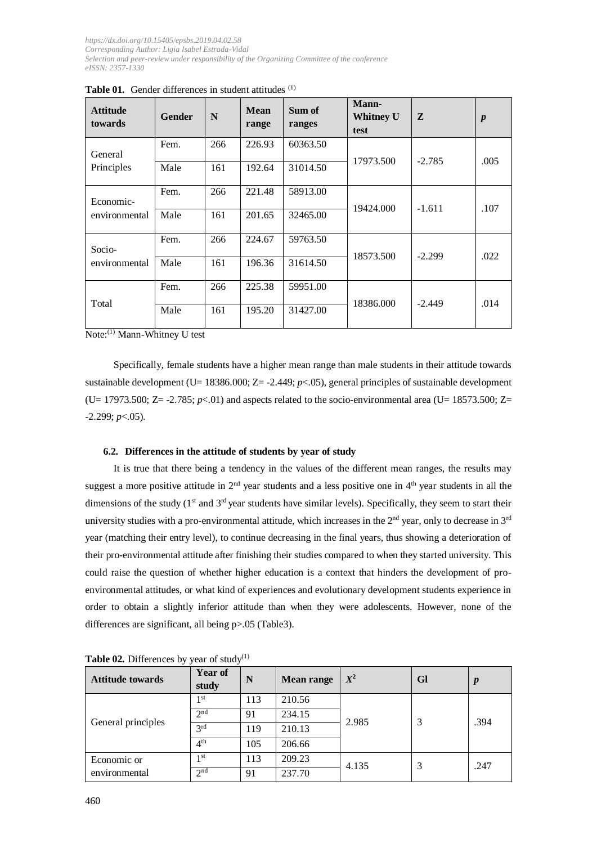| <b>Attitude</b><br>towards | Gender | N   | Mean<br>range | Sum of<br>ranges | <b>Mann-</b><br>Whitney U<br>test | Z        | $\boldsymbol{p}$ |
|----------------------------|--------|-----|---------------|------------------|-----------------------------------|----------|------------------|
| General                    | Fem.   | 266 | 226.93        | 60363.50         |                                   |          |                  |
| Principles                 | Male   | 161 | 192.64        | 31014.50         | 17973.500                         | $-2.785$ | .005             |
| Economic-                  | Fem.   | 266 | 221.48        | 58913.00         |                                   |          |                  |
| environmental              | Male   | 161 | 201.65        | 32465.00         | 19424.000                         | $-1.611$ | .107             |
| Socio-                     | Fem.   | 266 | 224.67        | 59763.50         |                                   |          |                  |
| environmental              | Male   | 161 | 196.36        | 31614.50         | 18573.500                         | $-2.299$ | .022             |
| Total                      | Fem.   | 266 | 225.38        | 59951.00         |                                   |          |                  |
|                            | Male   | 161 | 195.20        | 31427.00         | 18386.000                         | $-2.449$ | .014             |

Table 01. Gender differences in student attitudes (1)

Note:(1) Mann-Whitney U test

Specifically, female students have a higher mean range than male students in their attitude towards sustainable development (U= 18386.000; Z= -2.449; *p*<05), general principles of sustainable development (U= 17973.500; Z= -2.785;  $p<0$ ) and aspects related to the socio-environmental area (U= 18573.500; Z= -2.299; *p*<.05).

### **6.2. Differences in the attitude of students by year of study**

It is true that there being a tendency in the values of the different mean ranges, the results may suggest a more positive attitude in  $2<sup>nd</sup>$  year students and a less positive one in  $4<sup>th</sup>$  year students in all the dimensions of the study ( $1<sup>st</sup>$  and  $3<sup>rd</sup>$  year students have similar levels). Specifically, they seem to start their university studies with a pro-environmental attitude, which increases in the  $2<sup>nd</sup>$  year, only to decrease in  $3<sup>rd</sup>$ year (matching their entry level), to continue decreasing in the final years, thus showing a deterioration of their pro-environmental attitude after finishing their studies compared to when they started university. This could raise the question of whether higher education is a context that hinders the development of proenvironmental attitudes, or what kind of experiences and evolutionary development students experience in order to obtain a slightly inferior attitude than when they were adolescents. However, none of the differences are significant, all being p > 0.05 (Table3).

| <b>Attitude towards</b> | <b>Year of</b><br>study | N   | <b>Mean range</b> | $X^2$ | <b>Gl</b> | $\boldsymbol{p}$ |
|-------------------------|-------------------------|-----|-------------------|-------|-----------|------------------|
|                         | 1 <sup>st</sup>         | 113 | 210.56            | 2.985 | 3         | .394             |
|                         | 2 <sup>nd</sup>         | 91  | 234.15            |       |           |                  |
| General principles      | 3 <sup>rd</sup>         | 119 | 210.13            |       |           |                  |
|                         | 4 <sup>th</sup>         | 105 | 206.66            |       |           |                  |
| Economic or             | 1 <sup>st</sup>         | 113 | 209.23            | 4.135 | 3         | .247             |
| environmental           | 2 <sup>nd</sup>         | 91  | 237.70            |       |           |                  |

**Table 02.** Differences by year of study $^{(1)}$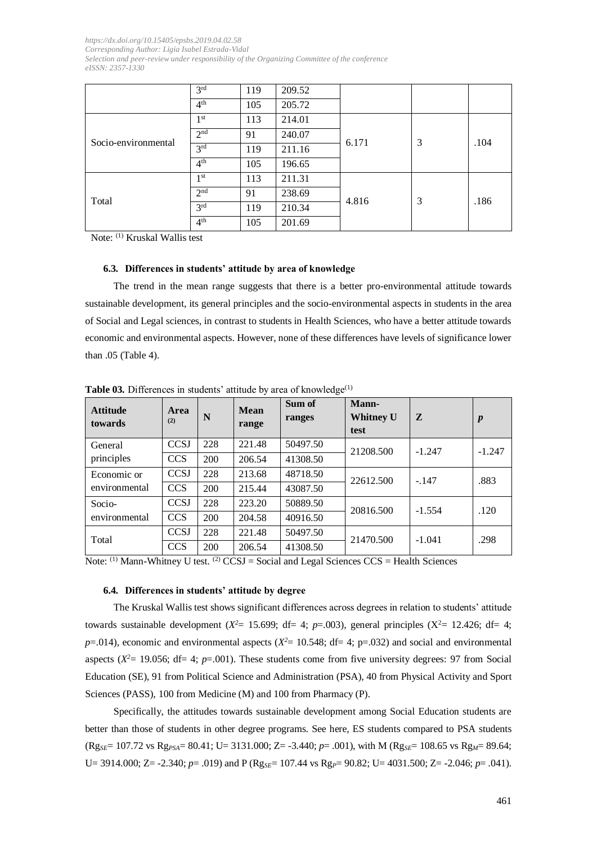|                     | 3 <sup>rd</sup> | 119 | 209.52 |       |   |      |
|---------------------|-----------------|-----|--------|-------|---|------|
|                     | 4 <sup>th</sup> | 105 | 205.72 |       |   |      |
|                     | 1 <sup>st</sup> | 113 | 214.01 | 6.171 | 3 | .104 |
| Socio-environmental | 2 <sup>nd</sup> | 91  | 240.07 |       |   |      |
|                     | 3 <sup>rd</sup> | 119 | 211.16 |       |   |      |
|                     | 4 <sup>th</sup> | 105 | 196.65 |       |   |      |
|                     | 1 <sup>st</sup> | 113 | 211.31 | 4.816 | 3 | .186 |
|                     | 2 <sub>nd</sub> | 91  | 238.69 |       |   |      |
| Total               | 3 <sup>rd</sup> | 119 | 210.34 |       |   |      |
|                     | 4 <sup>th</sup> | 105 | 201.69 |       |   |      |

Note: (1) Kruskal Wallis test

#### **6.3. Differences in students' attitude by area of knowledge**

The trend in the mean range suggests that there is a better pro-environmental attitude towards sustainable development, its general principles and the socio-environmental aspects in students in the area of Social and Legal sciences, in contrast to students in Health Sciences, who have a better attitude towards economic and environmental aspects. However, none of these differences have levels of significance lower than .05 (Table 4).

| <b>Attitude</b><br>towards | Area<br>(2) | N   | <b>Mean</b><br>range | Sum of<br>ranges | Mann-<br><b>Whitney U</b><br>test | Z        | $\boldsymbol{p}$ |
|----------------------------|-------------|-----|----------------------|------------------|-----------------------------------|----------|------------------|
| General                    | <b>CCSJ</b> | 228 | 221.48               | 50497.50         | 21208.500                         | $-1.247$ | $-1.247$         |
| principles                 | <b>CCS</b>  | 200 | 206.54               | 41308.50         |                                   |          |                  |
| Economic or                | <b>CCSJ</b> | 228 | 213.68               | 48718.50         | 22612.500                         | $-.147$  | .883             |
| environmental              | <b>CCS</b>  | 200 | 215.44               | 43087.50         |                                   |          |                  |
| Socio-                     | <b>CCSJ</b> | 228 | 223.20               | 50889.50         | 20816.500                         | $-1.554$ | .120             |
| environmental              | <b>CCS</b>  | 200 | 204.58               | 40916.50         |                                   |          |                  |
| Total                      | <b>CCSJ</b> | 228 | 221.48               | 50497.50         | 21470.500                         | $-1.041$ | .298             |
|                            | <b>CCS</b>  | 200 | 206.54               | 41308.50         |                                   |          |                  |

Table 03. Differences in students' attitude by area of knowledge<sup>(1)</sup>

Note:  $(1)$  Mann-Whitney U test.  $(2)$  CCSJ = Social and Legal Sciences CCS = Health Sciences

#### **6.4. Differences in students' attitude by degree**

The Kruskal Wallis test shows significant differences across degrees in relation to students' attitude towards sustainable development ( $X^2 = 15.699$ ; df= 4;  $p=0.003$ ), general principles ( $X^2 = 12.426$ ; df= 4;  $p=0.014$ ), economic and environmental aspects ( $X^2=10.548$ ; df= 4; p=.032) and social and environmental aspects ( $X^2$  = 19.056; df = 4;  $p$  = .001). These students come from five university degrees: 97 from Social Education (SE), 91 from Political Science and Administration (PSA), 40 from Physical Activity and Sport Sciences (PASS), 100 from Medicine (M) and 100 from Pharmacy (P).

Specifically, the attitudes towards sustainable development among Social Education students are better than those of students in other degree programs. See here, ES students compared to PSA students (Rg*SE*= 107.72 vs Rg*PSA*= 80.41; U= 3131.000; Z= -3.440; *p*= .001), with M (Rg*SE*= 108.65 vs Rg*M*= 89.64; U= 3914.000; Z= -2.340; *p*= .019) and P (Rg<sub>SE</sub>= 107.44 vs Rg<sub>P</sub>= 90.82; U= 4031.500; Z= -2.046; *p*= .041).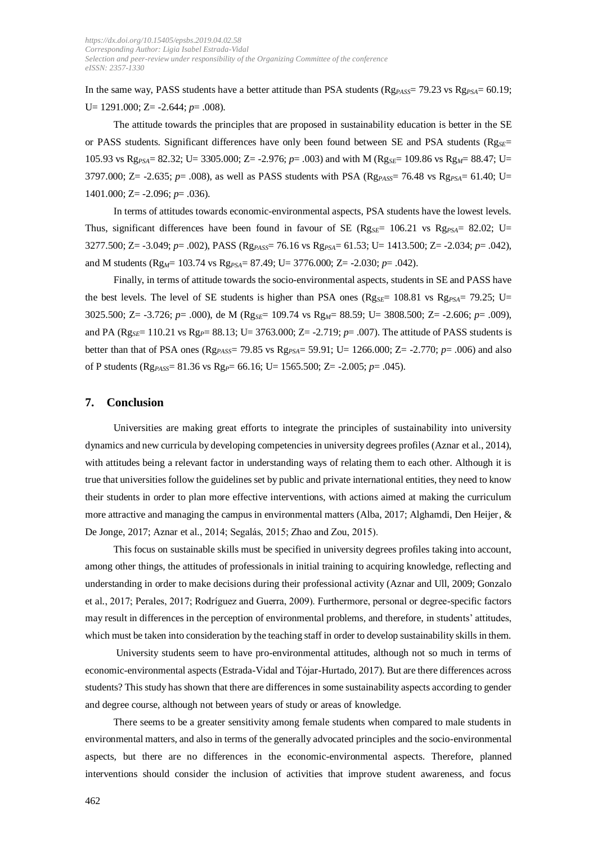In the same way, PASS students have a better attitude than PSA students ( $Rg_{PAS}$ = 79.23 vs  $Rg_{PSA}$ = 60.19; U= 1291.000; Z= -2.644; *p*= .008).

The attitude towards the principles that are proposed in sustainability education is better in the SE or PASS students. Significant differences have only been found between SE and PSA students (Rg<sub>SE</sub>= 105.93 vs Rg*PSA*= 82.32; U= 3305.000; Z= -2.976; *p*= .003) and with M (Rg*SE*= 109.86 vs Rg*M*= 88.47; U= 3797.000; Z= -2.635; *p*= .008), as well as PASS students with PSA (Rg*PASS*= 76.48 vs Rg*PSA*= 61.40; U= 1401.000; Z= -2.096; *p*= .036).

In terms of attitudes towards economic-environmental aspects, PSA students have the lowest levels. Thus, significant differences have been found in favour of SE (Rg<sub>SE</sub>= 106.21 vs Rg<sub>PSA</sub>= 82.02; U= 3277.500; Z= -3.049; *p*= .002), PASS (Rg*PASS*= 76.16 vs Rg*PSA*= 61.53; U= 1413.500; Z= -2.034; *p*= .042), and M students (Rg<sub>M</sub>= 103.74 vs Rg<sub>PSA</sub>= 87.49; U= 3776.000; Z= -2.030; *p*= .042).

Finally, in terms of attitude towards the socio-environmental aspects, students in SE and PASS have the best levels. The level of SE students is higher than PSA ones ( $Rg_{SE}=108.81$  vs  $Rg_{PSA}=79.25$ ; U= 3025.500; Z= -3.726; *p*= .000), de M (Rg*SE*= 109.74 vs Rg*M*= 88.59; U= 3808.500; Z= -2.606; *p*= .009), and PA (Rg*SE*= 110.21 vs Rg*P*= 88.13; U= 3763.000; Z= -2.719; *p*= .007). The attitude of PASS students is better than that of PSA ones (Rg*PASS*= 79.85 vs Rg*PSA*= 59.91; U= 1266.000; Z= -2.770; *p*= .006) and also of P students (Rg*PASS*= 81.36 vs Rg*P*= 66.16; U= 1565.500; Z= -2.005; *p*= .045).

#### **7. Conclusion**

Universities are making great efforts to integrate the principles of sustainability into university dynamics and new curricula by developing competencies in university degrees profiles (Aznar et al., 2014), with attitudes being a relevant factor in understanding ways of relating them to each other. Although it is true that universities follow the guidelines set by public and private international entities, they need to know their students in order to plan more effective interventions, with actions aimed at making the curriculum more attractive and managing the campus in environmental matters (Alba, 2017; Alghamdi, Den Heijer, & De Jonge, 2017; Aznar et al., 2014; Segalás, 2015; Zhao and Zou, 2015).

This focus on sustainable skills must be specified in university degrees profiles taking into account, among other things, the attitudes of professionals in initial training to acquiring knowledge, reflecting and understanding in order to make decisions during their professional activity (Aznar and Ull, 2009; Gonzalo et al., 2017; Perales, 2017; Rodríguez and Guerra, 2009). Furthermore, personal or degree-specific factors may result in differences in the perception of environmental problems, and therefore, in students' attitudes, which must be taken into consideration by the teaching staff in order to develop sustainability skills in them.

University students seem to have pro-environmental attitudes, although not so much in terms of economic-environmental aspects (Estrada-Vidal and Tójar-Hurtado, 2017). But are there differences across students? This study has shown that there are differences in some sustainability aspects according to gender and degree course, although not between years of study or areas of knowledge.

There seems to be a greater sensitivity among female students when compared to male students in environmental matters, and also in terms of the generally advocated principles and the socio-environmental aspects, but there are no differences in the economic-environmental aspects. Therefore, planned interventions should consider the inclusion of activities that improve student awareness, and focus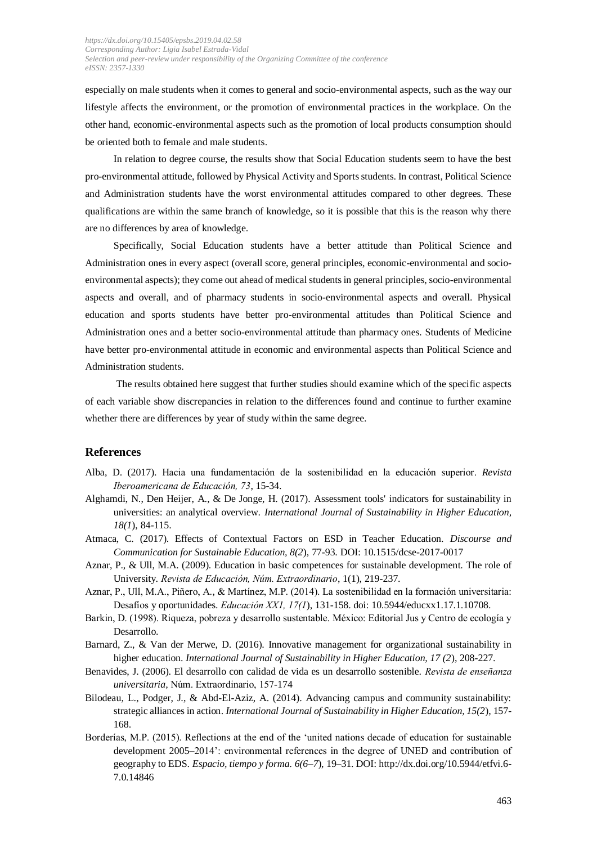especially on male students when it comes to general and socio-environmental aspects, such as the way our lifestyle affects the environment, or the promotion of environmental practices in the workplace. On the other hand, economic-environmental aspects such as the promotion of local products consumption should be oriented both to female and male students.

In relation to degree course, the results show that Social Education students seem to have the best pro-environmental attitude, followed by Physical Activity and Sports students. In contrast, Political Science and Administration students have the worst environmental attitudes compared to other degrees. These qualifications are within the same branch of knowledge, so it is possible that this is the reason why there are no differences by area of knowledge.

Specifically, Social Education students have a better attitude than Political Science and Administration ones in every aspect (overall score, general principles, economic-environmental and socioenvironmental aspects); they come out ahead of medical students in general principles, socio-environmental aspects and overall, and of pharmacy students in socio-environmental aspects and overall. Physical education and sports students have better pro-environmental attitudes than Political Science and Administration ones and a better socio-environmental attitude than pharmacy ones. Students of Medicine have better pro-environmental attitude in economic and environmental aspects than Political Science and Administration students.

The results obtained here suggest that further studies should examine which of the specific aspects of each variable show discrepancies in relation to the differences found and continue to further examine whether there are differences by year of study within the same degree.

#### **References**

- Alba, D. (2017). Hacia una fundamentación de la sostenibilidad en la educación superior. *Revista Iberoamericana de Educación, 73*, 15-34.
- Alghamdi, N., Den Heijer, A., & De Jonge, H. (2017). Assessment tools' indicators for sustainability in universities: an analytical overview. *International Journal of Sustainability in Higher Education, 18(1*), 84-115.
- Atmaca, C. (2017). Effects of Contextual Factors on ESD in Teacher Education. *Discourse and Communication for Sustainable Education, 8(2*), 77-93. DOI: 10.1515/dcse-2017-0017
- Aznar, P., & Ull, M.A. (2009). Education in basic competences for sustainable development. The role of University. *Revista de Educación, Núm. Extraordinario*, 1(1), 219-237.
- Aznar, P., Ull, M.A., Piñero, A., & Martínez, M.P. (2014). La sostenibilidad en la formación universitaria: Desafíos y oportunidades. *Educación XX1, 17(1*), 131-158. doi: 10.5944/educxx1.17.1.10708.
- Barkin, D. (1998). Riqueza, pobreza y desarrollo sustentable. México: Editorial Jus y Centro de ecología y Desarrollo.
- Barnard, Z., & Van der Merwe, D. (2016). Innovative management for organizational sustainability in higher education. *International Journal of Sustainability in Higher Education, 17 (2*), 208-227.
- Benavides, J. (2006). El desarrollo con calidad de vida es un desarrollo sostenible. *Revista de enseñanza universitaria,* Núm. Extraordinario, 157-174
- Bilodeau, L., Podger, J., & Abd-El-Aziz, A. (2014). Advancing campus and community sustainability: strategic alliances in action. *International Journal of Sustainability in Higher Education, 15(2*), 157- 168.
- Borderías, M.P. (2015). Reflections at the end of the 'united nations decade of education for sustainable development 2005–2014': environmental references in the degree of UNED and contribution of geography to EDS. *Espacio, tiempo y forma. 6(6–7*), 19–31. DOI: [http://dx.doi.org/10.5944/etfvi.6-](http://dx.doi.org/10.5944/etfvi.6-7.0.14846) [7.0.14846](http://dx.doi.org/10.5944/etfvi.6-7.0.14846)